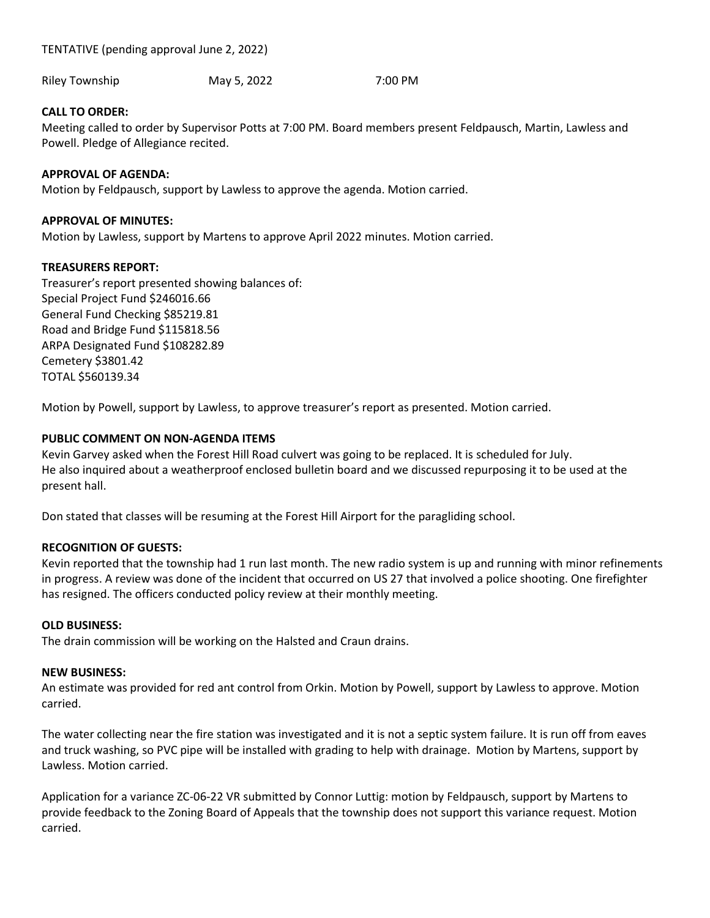TENTATIVE (pending approval June 2, 2022)

Riley Township May 5, 2022 7:00 PM

# CALL TO ORDER:

Meeting called to order by Supervisor Potts at 7:00 PM. Board members present Feldpausch, Martin, Lawless and Powell. Pledge of Allegiance recited.

## APPROVAL OF AGENDA:

Motion by Feldpausch, support by Lawless to approve the agenda. Motion carried.

#### APPROVAL OF MINUTES:

Motion by Lawless, support by Martens to approve April 2022 minutes. Motion carried.

## TREASURERS REPORT:

Treasurer's report presented showing balances of: Special Project Fund \$246016.66 General Fund Checking \$85219.81 Road and Bridge Fund \$115818.56 ARPA Designated Fund \$108282.89 Cemetery \$3801.42 TOTAL \$560139.34

Motion by Powell, support by Lawless, to approve treasurer's report as presented. Motion carried.

## PUBLIC COMMENT ON NON-AGENDA ITEMS

Kevin Garvey asked when the Forest Hill Road culvert was going to be replaced. It is scheduled for July. He also inquired about a weatherproof enclosed bulletin board and we discussed repurposing it to be used at the present hall.

Don stated that classes will be resuming at the Forest Hill Airport for the paragliding school.

## RECOGNITION OF GUESTS:

Kevin reported that the township had 1 run last month. The new radio system is up and running with minor refinements in progress. A review was done of the incident that occurred on US 27 that involved a police shooting. One firefighter has resigned. The officers conducted policy review at their monthly meeting.

#### OLD BUSINESS:

The drain commission will be working on the Halsted and Craun drains.

#### NEW BUSINESS:

An estimate was provided for red ant control from Orkin. Motion by Powell, support by Lawless to approve. Motion carried.

The water collecting near the fire station was investigated and it is not a septic system failure. It is run off from eaves and truck washing, so PVC pipe will be installed with grading to help with drainage. Motion by Martens, support by Lawless. Motion carried.

Application for a variance ZC-06-22 VR submitted by Connor Luttig: motion by Feldpausch, support by Martens to provide feedback to the Zoning Board of Appeals that the township does not support this variance request. Motion carried.